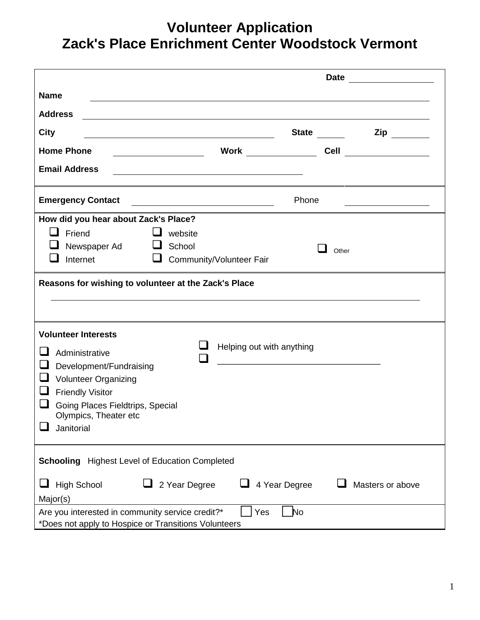## **Volunteer Application Zack's Place Enrichment Center Woodstock Vermont**

|                                                                                                          | Date <u>_____________</u>                                                                                             |               |                                         |  |  |
|----------------------------------------------------------------------------------------------------------|-----------------------------------------------------------------------------------------------------------------------|---------------|-----------------------------------------|--|--|
| <b>Name</b>                                                                                              |                                                                                                                       |               |                                         |  |  |
| <b>Address</b>                                                                                           |                                                                                                                       |               |                                         |  |  |
| City<br><u> 1989 - Jan Barnett, fransk politik (d. 1989)</u>                                             |                                                                                                                       |               | $\mathsf{Zip}$                          |  |  |
| <b>Home Phone</b>                                                                                        | Work $\_\_$                                                                                                           |               | <b>Cell</b> ________________            |  |  |
| <b>Email Address</b>                                                                                     | <u> 1980 - Johann Stoff, deutscher Stoff, der Stoff, der Stoff, der Stoff, der Stoff, der Stoff, der Stoff, der S</u> |               |                                         |  |  |
| <b>Emergency Contact</b>                                                                                 |                                                                                                                       | Phone         | <u> 1989 - Johann Barbara, martin a</u> |  |  |
| How did you hear about Zack's Place?                                                                     |                                                                                                                       |               |                                         |  |  |
| l I<br>Friend<br>$\Box$ website<br>Newspaper Ad<br>School<br>Internet<br>⊔                               | Community/Volunteer Fair                                                                                              | Other         |                                         |  |  |
| Reasons for wishing to volunteer at the Zack's Place                                                     |                                                                                                                       |               |                                         |  |  |
|                                                                                                          |                                                                                                                       |               |                                         |  |  |
|                                                                                                          |                                                                                                                       |               |                                         |  |  |
| <b>Volunteer Interests</b>                                                                               |                                                                                                                       |               |                                         |  |  |
| Administrative                                                                                           | Helping out with anything                                                                                             |               |                                         |  |  |
| Development/Fundraising                                                                                  |                                                                                                                       |               |                                         |  |  |
| <b>Volunteer Organizing</b>                                                                              |                                                                                                                       |               |                                         |  |  |
| <b>Friendly Visitor</b>                                                                                  |                                                                                                                       |               |                                         |  |  |
| Going Places Fieldtrips, Special                                                                         |                                                                                                                       |               |                                         |  |  |
| Olympics, Theater etc                                                                                    |                                                                                                                       |               |                                         |  |  |
| Janitorial                                                                                               |                                                                                                                       |               |                                         |  |  |
| Schooling Highest Level of Education Completed                                                           |                                                                                                                       |               |                                         |  |  |
| <b>High School</b><br>2 Year Degree                                                                      |                                                                                                                       | 4 Year Degree | Masters or above                        |  |  |
| Major(s)                                                                                                 |                                                                                                                       |               |                                         |  |  |
| Are you interested in community service credit?*<br>*Does not apply to Hospice or Transitions Volunteers | Yes                                                                                                                   | <b>No</b>     |                                         |  |  |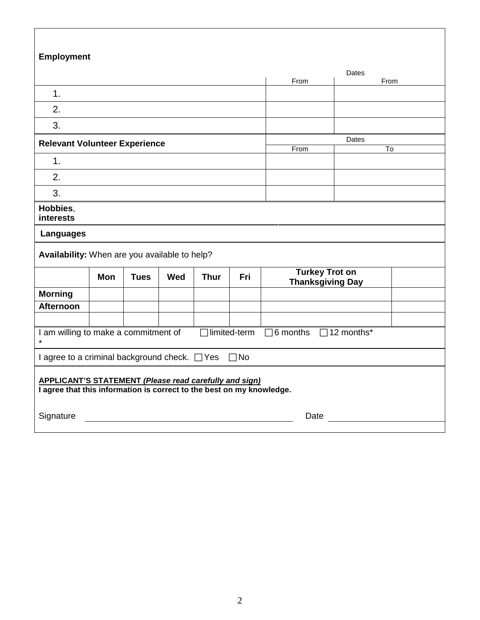| <b>Employment</b>                                                                                                                      |                                      |             |     |             |                     |                                                  |       |                        |
|----------------------------------------------------------------------------------------------------------------------------------------|--------------------------------------|-------------|-----|-------------|---------------------|--------------------------------------------------|-------|------------------------|
|                                                                                                                                        |                                      |             |     |             |                     |                                                  |       |                        |
|                                                                                                                                        |                                      |             |     |             |                     | From                                             | Dates | From                   |
| 1.                                                                                                                                     |                                      |             |     |             |                     |                                                  |       |                        |
| 2.                                                                                                                                     |                                      |             |     |             |                     |                                                  |       |                        |
| 3.                                                                                                                                     |                                      |             |     |             |                     |                                                  |       |                        |
|                                                                                                                                        | <b>Relevant Volunteer Experience</b> |             |     |             |                     |                                                  | Dates |                        |
| 1 <sub>1</sub>                                                                                                                         |                                      |             |     |             |                     | From                                             |       | $\overline{\text{To}}$ |
| 2.                                                                                                                                     |                                      |             |     |             |                     |                                                  |       |                        |
|                                                                                                                                        |                                      |             |     |             |                     |                                                  |       |                        |
| 3.                                                                                                                                     |                                      |             |     |             |                     |                                                  |       |                        |
| Hobbies,<br>interests                                                                                                                  |                                      |             |     |             |                     |                                                  |       |                        |
| <b>Languages</b>                                                                                                                       |                                      |             |     |             |                     |                                                  |       |                        |
| Availability: When are you available to help?                                                                                          |                                      |             |     |             |                     |                                                  |       |                        |
|                                                                                                                                        | <b>Mon</b>                           | <b>Tues</b> | Wed | <b>Thur</b> | Fri                 | <b>Turkey Trot on</b><br><b>Thanksgiving Day</b> |       |                        |
| <b>Morning</b>                                                                                                                         |                                      |             |     |             |                     |                                                  |       |                        |
| <b>Afternoon</b>                                                                                                                       |                                      |             |     |             |                     |                                                  |       |                        |
|                                                                                                                                        |                                      |             |     |             |                     |                                                  |       |                        |
| I am willing to make a commitment of<br>$\star$                                                                                        |                                      |             |     |             | $\Box$ limited-term | $\Box$ 6 months $\Box$ 12 months*                |       |                        |
| I agree to a criminal background check. □ Yes □ No                                                                                     |                                      |             |     |             |                     |                                                  |       |                        |
| <b>APPLICANT'S STATEMENT (Please read carefully and sign)</b><br>I agree that this information is correct to the best on my knowledge. |                                      |             |     |             |                     |                                                  |       |                        |
| Signature                                                                                                                              |                                      |             |     |             |                     | Date                                             |       |                        |
|                                                                                                                                        |                                      |             |     |             |                     |                                                  |       |                        |

 $\sqrt{ }$